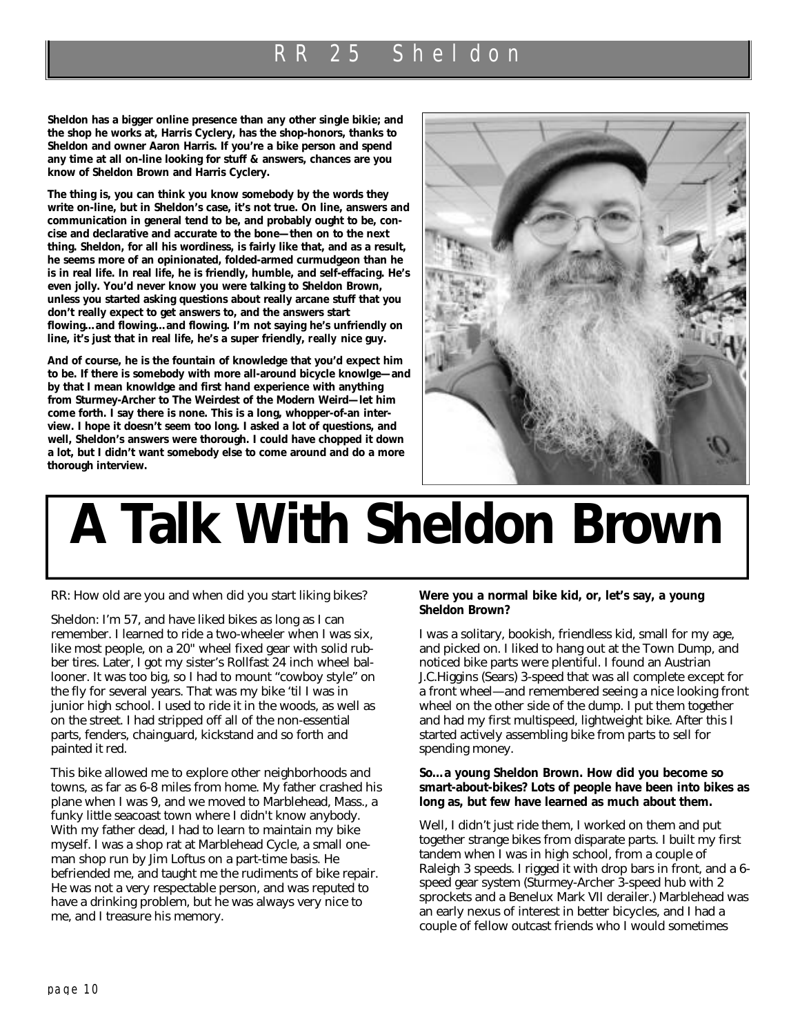**Sheldon has a bigger online presence than any other single bikie; and the shop he works at, Harris Cyclery, has the shop-honors, thanks to Sheldon and owner Aaron Harris. If you're a bike person and spend any time at all on-line looking for stuff & answers, chances are you know of Sheldon Brown and Harris Cyclery.**

**The thing is, you can think you know somebody by the words they write on-line, but in Sheldon's case, it's not true. On line, answers and communication in general tend to be, and probably ought to be, concise and declarative and accurate to the bone—then on to the next thing. Sheldon, for all his wordiness, is fairly like that, and as a result, he seems more of an opinionated, folded-armed curmudgeon than he is in real life. In real life, he is friendly, humble, and self-effacing. He's even jolly. You'd never know you were talking to Sheldon Brown, unless you started asking questions about really arcane stuff that you don't really expect to get answers to, and the answers start flowing…and flowing…and flowing. I'm not saying he's unfriendly on line, it's just that in real life, he's a super friendly,** *really* **nice guy.**

**And of course, he is the fountain of knowledge that you'd expect him to be. If there is somebody with more all-around bicycle knowlge—and by that I mean knowldge and first hand experience with anything from Sturmey-Archer to The Weirdest of the Modern Weird—let him come forth. I say there is none. This is a long, whopper-of-an interview. I hope it doesn't seem too long. I asked a lot of questions, and well, Sheldon's answers were thorough. I could have chopped it down a lot, but I didn't want somebody else to come around and do a more thorough interview.**



# **A Talk With Sheldon Brown**

RR: How old are you and when did you start liking bikes?

Sheldon: I'm 57, and have liked bikes as long as I can remember. I learned to ride a two-wheeler when I was six, like most people, on a 20" wheel fixed gear with solid rubber tires. Later, I got my sister's Rollfast 24 inch wheel ballooner. It was too big, so I had to mount "cowboy style" on the fly for several years. That was my bike 'til I was in junior high school. I used to ride it in the woods, as well as on the street. I had stripped off all of the non-essential parts, fenders, chainguard, kickstand and so forth and painted it red.

This bike allowed me to explore other neighborhoods and towns, as far as 6-8 miles from home. My father crashed his plane when I was 9, and we moved to Marblehead, Mass., a funky little seacoast town where I didn't know anybody. With my father dead, I had to learn to maintain my bike myself. I was a shop rat at Marblehead Cycle, a small oneman shop run by Jim Loftus on a part-time basis. He befriended me, and taught me the rudiments of bike repair. He was not a very respectable person, and was reputed to have a drinking problem, but he was always very nice to me, and I treasure his memory.

#### **Were you a normal bike kid, or, let's say, a young Sheldon Brown?**

I was a solitary, bookish, friendless kid, small for my age, and picked on. I liked to hang out at the Town Dump, and noticed bike parts were plentiful. I found an Austrian J.C.Higgins (Sears) 3-speed that was all complete except for a front wheel—and remembered seeing a nice looking front wheel on the other side of the dump. I put them together and had my first multispeed, lightweight bike. After this I started actively assembling bike from parts to sell for spending money.

#### **So…a young Sheldon Brown. How did you become so smart-about-bikes? Lots of people have been into bikes as long as, but few have learned as much about them.**

Well, I didn't just ride them, I worked on them and put together strange bikes from disparate parts. I built my first tandem when I was in high school, from a couple of Raleigh 3 speeds. I rigged it with drop bars in front, and a 6 speed gear system (Sturmey-Archer 3-speed hub with 2 sprockets and a Benelux Mark VII derailer.) Marblehead was an early nexus of interest in better bicycles, and I had a couple of fellow outcast friends who I would sometimes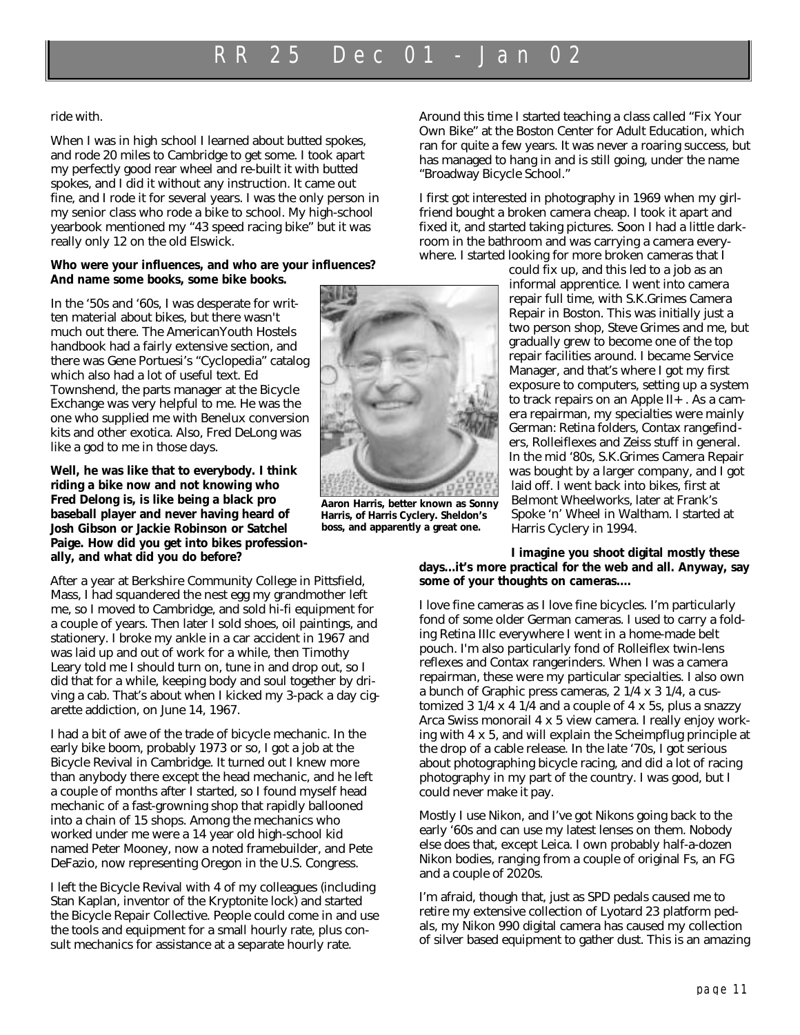ride with.

When I was in high school I learned about butted spokes, and rode 20 miles to Cambridge to get some. I took apart my perfectly good rear wheel and re-built it with butted spokes, and I did it without any instruction. It came out fine, and I rode it for several years. I was the only person in my senior class who rode a bike to school. My high-school yearbook mentioned my "43 speed racing bike" but it was really only 12 on the old Elswick.

#### **Who were your influences, and who are your influences? And name some books, some bike books.**

In the '50s and '60s, I was desperate for written material about bikes, but there wasn't much out there. The AmericanYouth Hostels handbook had a fairly extensive section, and there was Gene Portuesi's "Cyclopedia" catalog which also had a lot of useful text. Ed Townshend, the parts manager at the Bicycle Exchange was very helpful to me. He was the one who supplied me with Benelux conversion kits and other exotica. Also, Fred DeLong was like a god to me in those days.

**Well, he was like that to everybody. I think riding a bike now and not knowing who Fred Delong is, is like being a black pro baseball player and never having heard of Josh Gibson or Jackie Robinson or Satchel Paige. How did you get into bikes professionally, and what did you do before?**

After a year at Berkshire Community College in Pittsfield, Mass, I had squandered the nest egg my grandmother left me, so I moved to Cambridge, and sold hi-fi equipment for a couple of years. Then later I sold shoes, oil paintings, and stationery. I broke my ankle in a car accident in 1967 and was laid up and out of work for a while, then Timothy Leary told me I should turn on, tune in and drop out, so I did that for a while, keeping body and soul together by driving a cab. That's about when I kicked my 3-pack a day cigarette addiction, on June 14, 1967.

I had a bit of awe of the trade of bicycle mechanic. In the early bike boom, probably 1973 or so, I got a job at the Bicycle Revival in Cambridge. It turned out I knew more than anybody there except the head mechanic, and he left a couple of months after I started, so I found myself head mechanic of a fast-growning shop that rapidly ballooned into a chain of 15 shops. Among the mechanics who worked under me were a 14 year old high-school kid named Peter Mooney, now a noted framebuilder, and Pete DeFazio, now representing Oregon in the U.S. Congress.

I left the Bicycle Revival with 4 of my colleagues (including Stan Kaplan, inventor of the Kryptonite lock) and started the Bicycle Repair Collective. People could come in and use the tools and equipment for a small hourly rate, plus consult mechanics for assistance at a separate hourly rate.



**Aaron Harris, better known as Sonny Harris, of Harris Cyclery. Sheldon's boss, and apparently a great one.** 

Around this time I started teaching a class called "Fix Your Own Bike" at the Boston Center for Adult Education, which ran for quite a few years. It was never a roaring success, but has managed to hang in and is still going, under the name "Broadway Bicycle School."

I first got interested in photography in 1969 when my girlfriend bought a broken camera cheap. I took it apart and fixed it, and started taking pictures. Soon I had a little darkroom in the bathroom and was carrying a camera everywhere. I started looking for more broken cameras that I

> could fix up, and this led to a job as an informal apprentice. I went into camera repair full time, with S.K.Grimes Camera Repair in Boston. This was initially just a two person shop, Steve Grimes and me, but gradually grew to become one of the top repair facilities around. I became Service Manager, and that's where I got my first exposure to computers, setting up a system to track repairs on an Apple  $II +$ . As a camera repairman, my specialties were mainly German: Retina folders, Contax rangefinders, Rolleiflexes and Zeiss stuff in general. In the mid '80s, S.K.Grimes Camera Repair was bought by a larger company, and I got laid off. I went back into bikes, first at Belmont Wheelworks, later at Frank's Spoke 'n' Wheel in Waltham. I started at Harris Cyclery in 1994.

#### **I imagine you shoot digital mostly these days...it's more practical for the web and all. Anyway, say some of your thoughts on cameras....**

I love fine cameras as I love fine bicycles. I'm particularly fond of some older German cameras. I used to carry a folding Retina IIIc everywhere I went in a home-made belt pouch. I'm also particularly fond of Rolleiflex twin-lens reflexes and Contax rangerinders. When I was a camera repairman, these were my particular specialties. I also own a bunch of Graphic press cameras, 2 1/4 x 3 1/4, a customized 3 1/4 x 4 1/4 and a couple of 4 x 5s, plus a snazzy Arca Swiss monorail 4 x 5 view camera. I really enjoy working with 4 x 5, and will explain the Scheimpflug principle at the drop of a cable release. In the late '70s, I got serious about photographing bicycle racing, and did a lot of racing photography in my part of the country. I was good, but I could never make it pay.

Mostly I use Nikon, and I've got Nikons going back to the early '60s and can use my latest lenses on them. Nobody else does that, except Leica. I own probably half-a-dozen Nikon bodies, ranging from a couple of original Fs, an FG and a couple of 2020s.

I'm afraid, though that, just as SPD pedals caused me to retire my extensive collection of Lyotard 23 platform pedals, my Nikon 990 digital camera has caused my collection of silver based equipment to gather dust. This is an amazing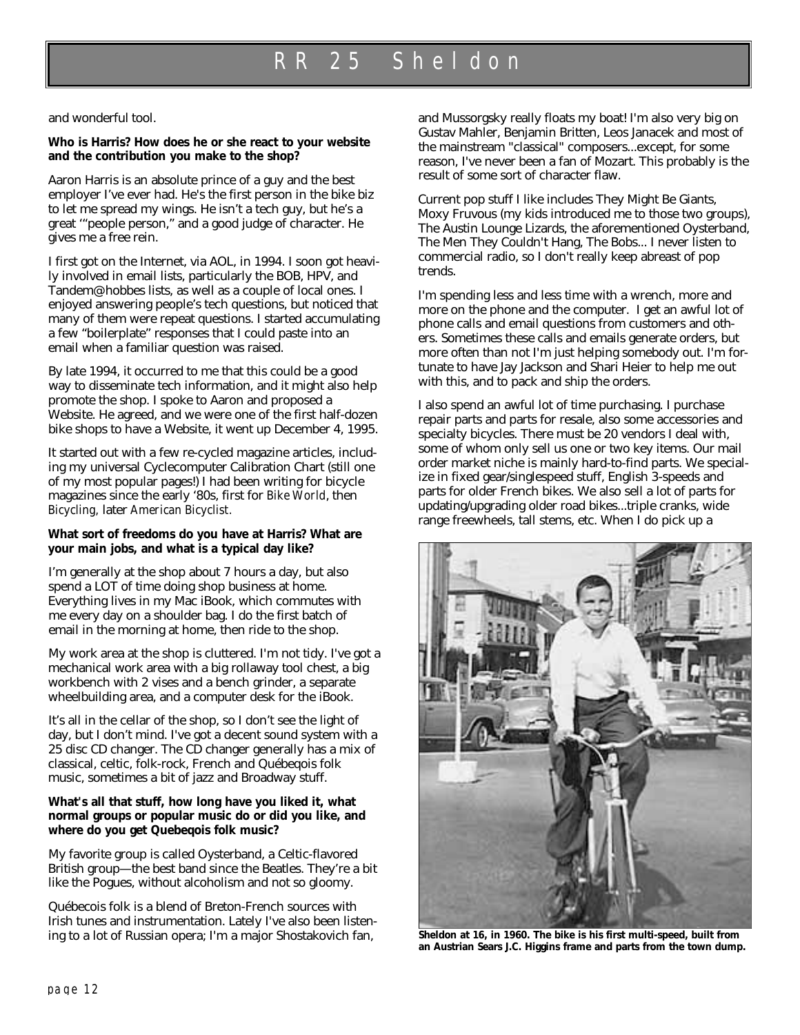and wonderful tool.

#### **Who is Harris? How does he or she react to your website and the contribution you make to the shop?**

Aaron Harris is an absolute prince of a guy and the best employer I've ever had. He's the first person in the bike biz to let me spread my wings. He isn't a tech guy, but he's a great '"people person," and a good judge of character. He gives me a free rein.

I first got on the Internet, via AOL, in 1994. I soon got heavily involved in email lists, particularly the BOB, HPV, and Tandem@hobbes lists, as well as a couple of local ones. I enjoyed answering people's tech questions, but noticed that many of them were repeat questions. I started accumulating a few "boilerplate" responses that I could paste into an email when a familiar question was raised.

By late 1994, it occurred to me that this could be a good way to disseminate tech information, and it might also help promote the shop. I spoke to Aaron and proposed a Website. He agreed, and we were one of the first half-dozen bike shops to have a Website, it went up December 4, 1995.

It started out with a few re-cycled magazine articles, including my universal Cyclecomputer Calibration Chart (still one of my most popular pages!) I had been writing for bicycle magazines since the early '80s, first for *Bike World*, then *Bicycling,* later *American Bicyclist.*

#### **What sort of freedoms do you have at Harris? What are your main jobs, and what is a typical day like?**

I'm generally at the shop about 7 hours a day, but also spend a LOT of time doing shop business at home. Everything lives in my Mac iBook, which commutes with me every day on a shoulder bag. I do the first batch of email in the morning at home, then ride to the shop.

My work area at the shop is cluttered. I'm not tidy. I've got a mechanical work area with a big rollaway tool chest, a big workbench with 2 vises and a bench grinder, a separate wheelbuilding area, and a computer desk for the iBook.

It's all in the cellar of the shop, so I don't see the light of day, but I don't mind. I've got a decent sound system with a 25 disc CD changer. The CD changer generally has a mix of classical, celtic, folk-rock, French and Québeqois folk music, sometimes a bit of jazz and Broadway stuff.

#### **What's all that stuff, how long have you liked it, what normal groups or popular music do or did you like, and where do you get Quebeqois folk music?**

My favorite group is called Oysterband, a Celtic-flavored British group—the best band since the Beatles. They're a bit like the Pogues, without alcoholism and not so gloomy.

Québecois folk is a blend of Breton-French sources with Irish tunes and instrumentation. Lately I've also been listening to a lot of Russian opera; I'm a major Shostakovich fan,

and Mussorgsky really floats my boat! I'm also very big on Gustav Mahler, Benjamin Britten, Leos Janacek and most of the mainstream "classical" composers...except, for some reason, I've never been a fan of Mozart. This probably is the result of some sort of character flaw.

Current pop stuff I like includes They Might Be Giants, Moxy Fruvous (my kids introduced me to those two groups), The Austin Lounge Lizards, the aforementioned Oysterband, The Men They Couldn't Hang, The Bobs... I never listen to commercial radio, so I don't really keep abreast of pop trends.

I'm spending less and less time with a wrench, more and more on the phone and the computer. I get an awful lot of phone calls and email questions from customers and others. Sometimes these calls and emails generate orders, but more often than not I'm just helping somebody out. I'm fortunate to have Jay Jackson and Shari Heier to help me out with this, and to pack and ship the orders.

I also spend an awful lot of time purchasing. I purchase repair parts and parts for resale, also some accessories and specialty bicycles. There must be 20 vendors I deal with, some of whom only sell us one or two key items. Our mail order market niche is mainly hard-to-find parts. We specialize in fixed gear/singlespeed stuff, English 3-speeds and parts for older French bikes. We also sell a lot of parts for updating/upgrading older road bikes...triple cranks, wide range freewheels, tall stems, etc. When I do pick up a



**Sheldon at 16, in 1960. The bike is his first multi-speed, built from an Austrian Sears J.C. Higgins frame and parts from the town dump.**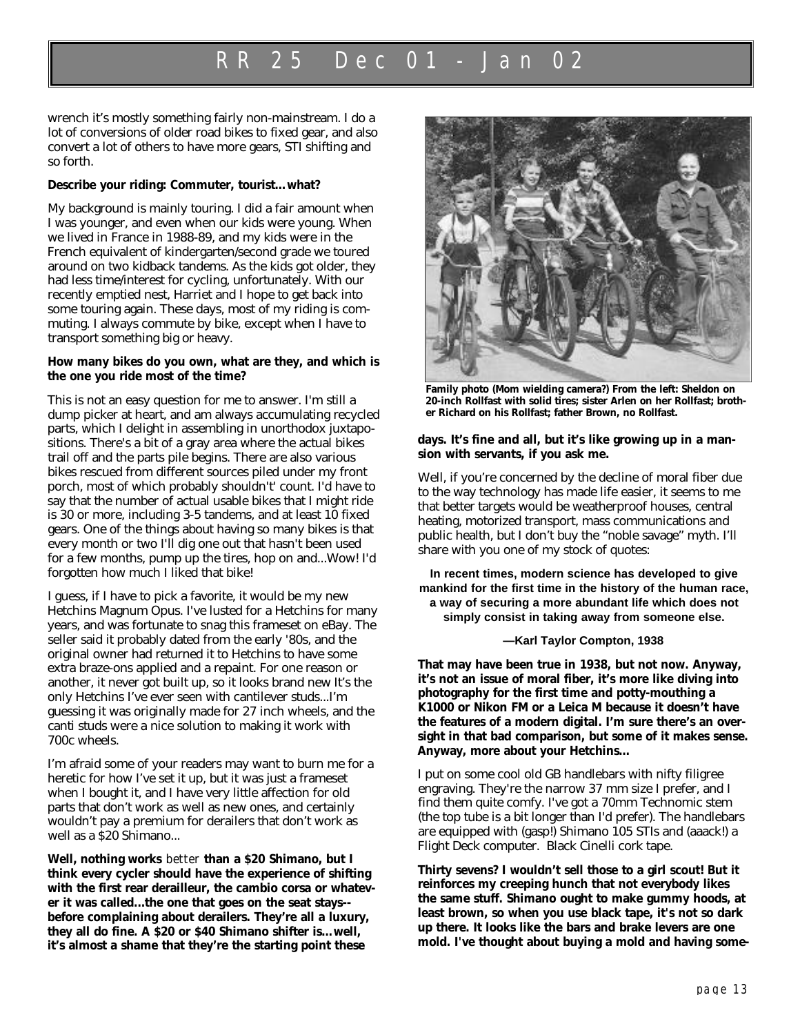# RR 25 Dec 01 - Jan 02

wrench it's mostly something fairly non-mainstream. I do a lot of conversions of older road bikes to fixed gear, and also convert a lot of others to have more gears, STI shifting and so forth.

#### **Describe your riding: Commuter, tourist…what?**

My background is mainly touring. I did a fair amount when I was younger, and even when our kids were young. When we lived in France in 1988-89, and my kids were in the French equivalent of kindergarten/second grade we toured around on two kidback tandems. As the kids got older, they had less time/interest for cycling, unfortunately. With our recently emptied nest, Harriet and I hope to get back into some touring again. These days, most of my riding is commuting. I always commute by bike, except when I have to transport something big or heavy.

#### **How many bikes do you own, what are they, and which is the one you ride most of the time?**

This is not an easy question for me to answer. I'm still a dump picker at heart, and am always accumulating recycled parts, which I delight in assembling in unorthodox juxtapositions. There's a bit of a gray area where the actual bikes trail off and the parts pile begins. There are also various bikes rescued from different sources piled under my front porch, most of which probably shouldn't' count. I'd have to say that the number of actual usable bikes that I might ride is 30 or more, including 3-5 tandems, and at least 10 fixed gears. One of the things about having so many bikes is that every month or two I'll dig one out that hasn't been used for a few months, pump up the tires, hop on and...Wow! I'd forgotten how much I liked that bike!

I guess, if I have to pick a favorite, it would be my new Hetchins Magnum Opus. I've lusted for a Hetchins for many years, and was fortunate to snag this frameset on eBay. The seller said it probably dated from the early '80s, and the original owner had returned it to Hetchins to have some extra braze-ons applied and a repaint. For one reason or another, it never got built up, so it looks brand new It's the only Hetchins I've ever seen with cantilever studs...I'm guessing it was originally made for 27 inch wheels, and the canti studs were a nice solution to making it work with 700c wheels.

I'm afraid some of your readers may want to burn me for a heretic for how I've set it up, but it was just a frameset when I bought it, and I have very little affection for old parts that don't work as well as new ones, and certainly wouldn't pay a premium for derailers that don't work as well as a \$20 Shimano...

**Well, nothing works** *better* **than a \$20 Shimano, but I think every cycler should have the experience of shifting with the first rear derailleur, the cambio corsa or whatever it was called...the one that goes on the seat stays- before complaining about derailers. They're all a luxury, they all do fine. A \$20 or \$40 Shimano shifter is…well, it's almost a shame that they're the starting point these**



**Family photo (Mom wielding camera?) From the left: Sheldon on 20-inch Rollfast with solid tires; sister Arlen on her Rollfast; brother Richard on his Rollfast; father Brown, no Rollfast.**

#### **days. It's fine and all, but it's like growing up in a mansion with servants, if you ask me.**

Well, if you're concerned by the decline of moral fiber due to the way technology has made life easier, it seems to me that better targets would be weatherproof houses, central heating, motorized transport, mass communications and public health, but I don't buy the "noble savage" myth. I'll share with you one of my stock of quotes:

**In recent times, modern science has developed to give mankind for the first time in the history of the human race, a way of securing a more abundant life which does not simply consist in taking away from someone else.** 

**—Karl Taylor Compton, 1938**

**That may have been true in 1938, but not now. Anyway, it's not an issue of moral fiber, it's more like diving into photography for the first time and potty-mouthing a K1000 or Nikon FM or a Leica M because it doesn't have the features of a modern digital. I'm sure there's an oversight in that bad comparison, but some of it makes sense. Anyway, more about your Hetchins…**

I put on some cool old GB handlebars with nifty filigree engraving. They're the narrow 37 mm size I prefer, and I find them quite comfy. I've got a 70mm Technomic stem (the top tube is a bit longer than I'd prefer). The handlebars are equipped with (gasp!) Shimano 105 STIs and (aaack!) a Flight Deck computer. Black Cinelli cork tape.

**Thirty sevens? I wouldn't sell those to a girl scout! But it reinforces my creeping hunch that not everybody likes the same stuff. Shimano ought to make gummy hoods, at least brown, so when you use black tape, it's not so dark up there. It looks like the bars and brake levers are one mold. I've thought about buying a mold and having some-**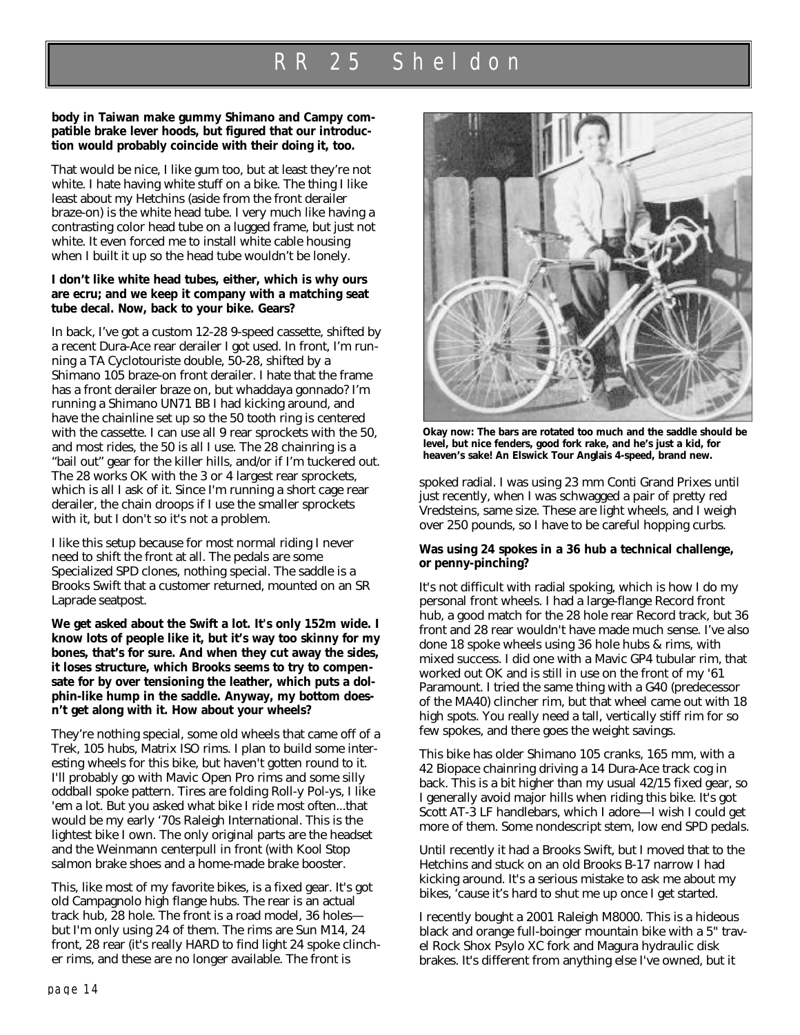#### **body in Taiwan make gummy Shimano and Campy compatible brake lever hoods, but figured that our introduction would probably coincide with their doing it, too.**

That would be nice, I like gum too, but at least they're not white. I hate having white stuff on a bike. The thing I like least about my Hetchins (aside from the front derailer braze-on) is the white head tube. I very much like having a contrasting color head tube on a lugged frame, but just not white. It even forced me to install white cable housing when I built it up so the head tube wouldn't be lonely.

#### **I don't like white head tubes, either, which is why ours are ecru; and we keep it company with a matching seat tube decal. Now, back to your bike. Gears?**

In back, I've got a custom 12-28 9-speed cassette, shifted by a recent Dura-Ace rear derailer I got used. In front, I'm running a TA Cyclotouriste double, 50-28, shifted by a Shimano 105 braze-on front derailer. I hate that the frame has a front derailer braze on, but whaddaya gonnado? I'm running a Shimano UN71 BB I had kicking around, and have the chainline set up so the 50 tooth ring is centered with the cassette. I can use all 9 rear sprockets with the 50, and most rides, the 50 is all I use. The 28 chainring is a "bail out" gear for the killer hills, and/or if I'm tuckered out. The 28 works OK with the 3 or 4 largest rear sprockets, which is all I ask of it. Since I'm running a short cage rear derailer, the chain droops if I use the smaller sprockets with it, but I don't so it's not a problem.

I like this setup because for most normal riding I never need to shift the front at all. The pedals are some Specialized SPD clones, nothing special. The saddle is a Brooks Swift that a customer returned, mounted on an SR Laprade seatpost.

**We get asked about the Swift a lot. It's only 152m wide. I know lots of people like it, but it's way too skinny for my bones, that's for sure. And when they cut away the sides, it loses structure, which Brooks seems to try to compensate for by over tensioning the leather, which puts a dolphin-like hump in the saddle. Anyway, my bottom doesn't get along with it. How about your wheels?**

They're nothing special, some old wheels that came off of a Trek, 105 hubs, Matrix ISO rims. I plan to build some interesting wheels for this bike, but haven't gotten round to it. I'll probably go with Mavic Open Pro rims and some silly oddball spoke pattern. Tires are folding Roll-y Pol-ys, I like 'em a lot. But you asked what bike I ride most often...that would be my early '70s Raleigh International. This is the lightest bike I own. The only original parts are the headset and the Weinmann centerpull in front (with Kool Stop salmon brake shoes and a home-made brake booster.

This, like most of my favorite bikes, is a fixed gear. It's got old Campagnolo high flange hubs. The rear is an actual track hub, 28 hole. The front is a road model, 36 holes but I'm only using 24 of them. The rims are Sun M14, 24 front, 28 rear (it's really HARD to find light 24 spoke clincher rims, and these are no longer available. The front is



**Okay now: The bars are rotated too much and the saddle should be level, but nice fenders, good fork rake, and he's just a kid, for heaven's sake! An Elswick Tour Anglais 4-speed, brand new.**

spoked radial. I was using 23 mm Conti Grand Prixes until just recently, when I was schwagged a pair of pretty red Vredsteins, same size. These are light wheels, and I weigh over 250 pounds, so I have to be careful hopping curbs.

#### **Was using 24 spokes in a 36 hub a technical challenge, or penny-pinching?**

It's not difficult with radial spoking, which is how I do my personal front wheels. I had a large-flange Record front hub, a good match for the 28 hole rear Record track, but 36 front and 28 rear wouldn't have made much sense. I've also done 18 spoke wheels using 36 hole hubs & rims, with mixed success. I did one with a Mavic GP4 tubular rim, that worked out OK and is still in use on the front of my '61 Paramount. I tried the same thing with a G40 (predecessor of the MA40) clincher rim, but that wheel came out with 18 high spots. You really need a tall, vertically stiff rim for so few spokes, and there goes the weight savings.

This bike has older Shimano 105 cranks, 165 mm, with a 42 Biopace chainring driving a 14 Dura-Ace track cog in back. This is a bit higher than my usual 42/15 fixed gear, so I generally avoid major hills when riding this bike. It's got Scott AT-3 LF handlebars, which I adore—I wish I could get more of them. Some nondescript stem, low end SPD pedals.

Until recently it had a Brooks Swift, but I moved that to the Hetchins and stuck on an old Brooks B-17 narrow I had kicking around. It's a serious mistake to ask me about my bikes, 'cause it's hard to shut me up once I get started.

I recently bought a 2001 Raleigh M8000. This is a hideous black and orange full-boinger mountain bike with a 5" travel Rock Shox Psylo XC fork and Magura hydraulic disk brakes. It's different from anything else I've owned, but it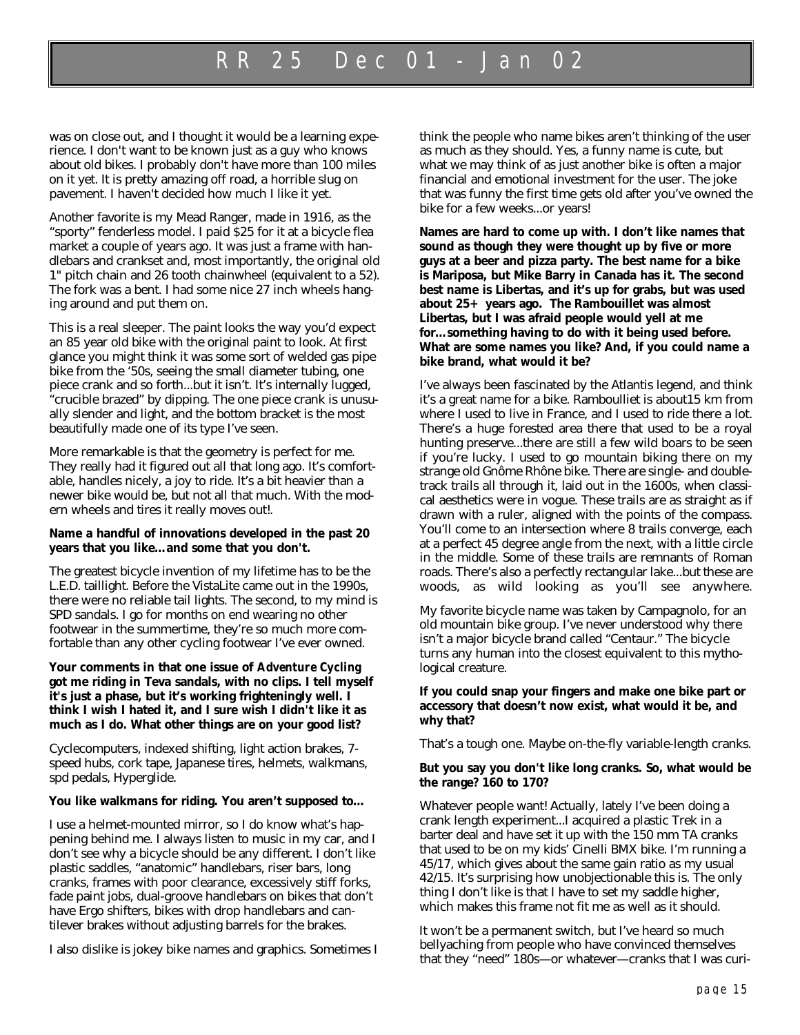### RR 25 Dec 01 - Jan 02

was on close out, and I thought it would be a learning experience. I don't want to be known just as a guy who knows about old bikes. I probably don't have more than 100 miles on it yet. It is pretty amazing off road, a horrible slug on pavement. I haven't decided how much I like it yet.

Another favorite is my Mead Ranger, made in 1916, as the "sporty" fenderless model. I paid \$25 for it at a bicycle flea market a couple of years ago. It was just a frame with handlebars and crankset and, most importantly, the original old 1" pitch chain and 26 tooth chainwheel (equivalent to a 52). The fork was a bent. I had some nice 27 inch wheels hanging around and put them on.

This is a real sleeper. The paint looks the way you'd expect an 85 year old bike with the original paint to look. At first glance you might think it was some sort of welded gas pipe bike from the '50s, seeing the small diameter tubing, one piece crank and so forth...but it isn't. It's internally lugged, "crucible brazed" by dipping. The one piece crank is unusually slender and light, and the bottom bracket is the most beautifully made one of its type I've seen.

More remarkable is that the geometry is perfect for me. They really had it figured out all that long ago. It's comfortable, handles nicely, a joy to ride. It's a bit heavier than a newer bike would be, but not all that much. With the modern wheels and tires it really moves out!.

#### **Name a handful of innovations developed in the past 20 years that you like…and some that you don't.**

The greatest bicycle invention of my lifetime has to be the L.E.D. taillight. Before the VistaLite came out in the 1990s, there were no reliable tail lights. The second, to my mind is SPD sandals. I go for months on end wearing no other footwear in the summertime, they're so much more comfortable than any other cycling footwear I've ever owned.

**Your comments in that one issue of** *Adventure Cycling* **got me riding in Teva sandals, with no clips. I tell myself it's just a phase, but it's working frighteningly well. I think I wish I hated it, and I sure wish I didn't like it as much as I do. What other things are on your good list?**

Cyclecomputers, indexed shifting, light action brakes, 7 speed hubs, cork tape, Japanese tires, helmets, walkmans, spd pedals, Hyperglide.

#### **You like walkmans for riding. You aren't supposed to…**

I use a helmet-mounted mirror, so I do know what's happening behind me. I always listen to music in my car, and I don't see why a bicycle should be any different. I don't like plastic saddles, "anatomic" handlebars, riser bars, long cranks, frames with poor clearance, excessively stiff forks, fade paint jobs, dual-groove handlebars on bikes that don't have Ergo shifters, bikes with drop handlebars and cantilever brakes without adjusting barrels for the brakes.

I also dislike is jokey bike names and graphics. Sometimes I

think the people who name bikes aren't thinking of the user as much as they should. Yes, a funny name is cute, but what we may think of as just another bike is often a major financial and emotional investment for the user. The joke that was funny the first time gets old after you've owned the bike for a few weeks...or years!

**Names are hard to come up with. I don't like names that sound as though they were thought up by five or more guys at a beer and pizza party. The best name for a bike is Mariposa, but Mike Barry in Canada has it. The second best name is Libertas, and it's up for grabs, but was used about 25+ years ago. The Rambouillet was almost Libertas, but I was afraid people would yell at me for…something having to do with it being used before. What are some names you like? And, if you could name a bike brand, what would it be?**

I've always been fascinated by the Atlantis legend, and think it's a great name for a bike. Ramboulliet is about15 km from where I used to live in France, and I used to ride there a lot. There's a huge forested area there that used to be a royal hunting preserve...there are still a few wild boars to be seen if you're lucky. I used to go mountain biking there on my strange old Gnôme Rhône bike. There are single- and doubletrack trails all through it, laid out in the 1600s, when classical aesthetics were in vogue. These trails are as straight as if drawn with a ruler, aligned with the points of the compass. You'll come to an intersection where 8 trails converge, each at a perfect 45 degree angle from the next, with a little circle in the middle. Some of these trails are remnants of Roman roads. There's also a perfectly rectangular lake...but these are woods, as wild looking as you'll see anywhere.

My favorite bicycle name was taken by Campagnolo, for an old mountain bike group. I've never understood why there isn't a major bicycle brand called "Centaur." The bicycle turns any human into the closest equivalent to this mythological creature.

#### **If you could snap your fingers and make one bike part or accessory that doesn't now exist, what would it be, and why that?**

That's a tough one. Maybe on-the-fly variable-length cranks.

#### **But you say you don't like long cranks. So, what would be the range? 160 to 170?**

Whatever people want! Actually, lately I've been doing a crank length experiment...I acquired a plastic Trek in a barter deal and have set it up with the 150 mm TA cranks that used to be on my kids' Cinelli BMX bike. I'm running a 45/17, which gives about the same gain ratio as my usual 42/15. It's surprising how unobjectionable this is. The only thing I don't like is that I have to set my saddle higher, which makes this frame not fit me as well as it should.

It won't be a permanent switch, but I've heard so much bellyaching from people who have convinced themselves that they "need" 180s—or whatever—cranks that I was curi-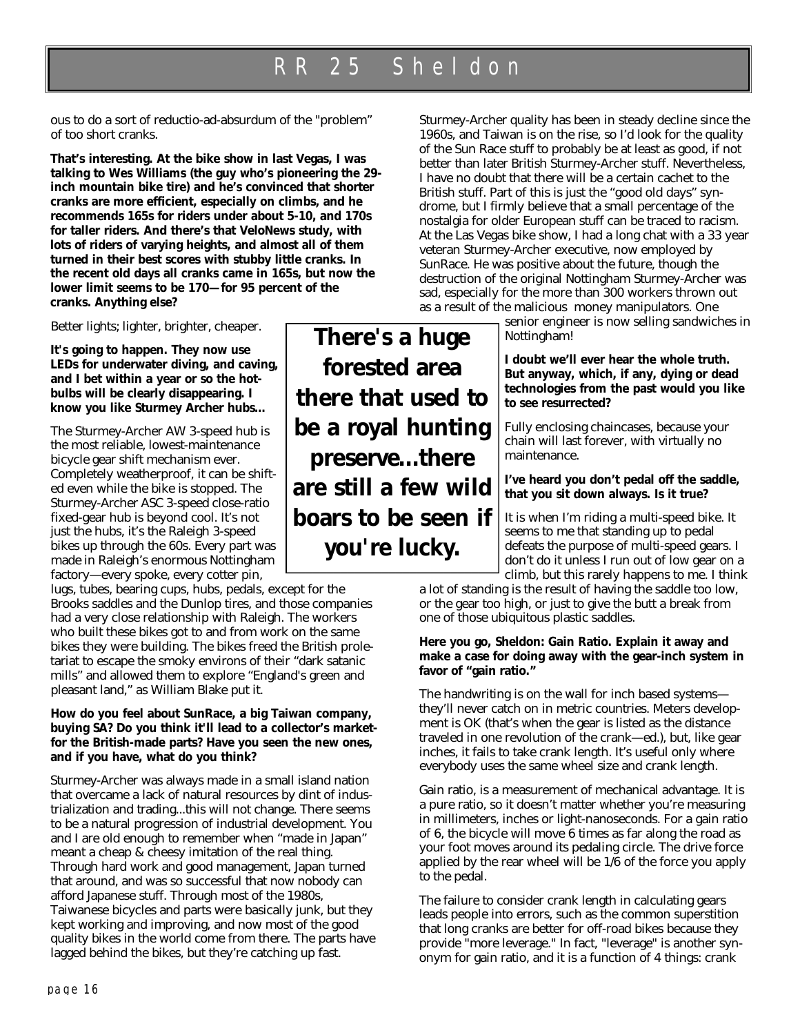ous to do a sort of reductio-ad-absurdum of the "problem" of too short cranks.

**That's interesting. At the bike show in last Vegas, I was talking to Wes Williams (the guy who's pioneering the 29 inch mountain bike tire) and he's convinced that shorter cranks are more efficient, especially on climbs, and he recommends 165s for riders under about 5-10, and 170s for taller riders. And there's that VeloNews study, with lots of riders of varying heights, and almost all of them turned in their best scores with stubby little cranks. In the recent old days all cranks came in 165s, but now the lower limit seems to be 170—for 95 percent of the cranks. Anything else?**

Better lights; lighter, brighter, cheaper.

**It's going to happen. They now use LEDs for underwater diving, and caving, and I bet within a year or so the hotbulbs will be clearly disappearing. I know you like Sturmey Archer hubs…**

The Sturmey-Archer AW 3-speed hub is the most reliable, lowest-maintenance bicycle gear shift mechanism ever. Completely weatherproof, it can be shifted even while the bike is stopped. The Sturmey-Archer ASC 3-speed close-ratio fixed-gear hub is beyond cool. It's not just the hubs, it's the Raleigh 3-speed bikes up through the 60s. Every part was made in Raleigh's enormous Nottingham factory—every spoke, every cotter pin,

lugs, tubes, bearing cups, hubs, pedals, except for the Brooks saddles and the Dunlop tires, and those companies had a very close relationship with Raleigh. The workers who built these bikes got to and from work on the same bikes they were building. The bikes freed the British proletariat to escape the smoky environs of their "dark satanic mills" and allowed them to explore "England's green and pleasant land," as William Blake put it.

#### **How do you feel about SunRace, a big Taiwan company, buying SA? Do you think it'll lead to a collector's marketfor the British-made parts? Have you seen the new ones, and if you have, what do you think?**

Sturmey-Archer was always made in a small island nation that overcame a lack of natural resources by dint of industrialization and trading...this will not change. There seems to be a natural progression of industrial development. You and I are old enough to remember when "made in Japan" meant a cheap & cheesy imitation of the real thing. Through hard work and good management, Japan turned that around, and was so successful that now nobody can afford Japanese stuff. Through most of the 1980s, Taiwanese bicycles and parts were basically junk, but they kept working and improving, and now most of the good quality bikes in the world come from there. The parts have lagged behind the bikes, but they're catching up fast.

**There's a huge forested area there that used to be a royal hunting preserve...there are still a few wild boars to be seen if you're lucky.**

Sturmey-Archer quality has been in steady decline since the 1960s, and Taiwan is on the rise, so I'd look for the quality of the Sun Race stuff to probably be at least as good, if not better than later British Sturmey-Archer stuff. Nevertheless, I have no doubt that there will be a certain cachet to the British stuff. Part of this is just the "good old days" syndrome, but I firmly believe that a small percentage of the nostalgia for older European stuff can be traced to racism. At the Las Vegas bike show, I had a long chat with a 33 year veteran Sturmey-Archer executive, now employed by SunRace. He was positive about the future, though the destruction of the original Nottingham Sturmey-Archer was sad, especially for the more than 300 workers thrown out as a result of the malicious money manipulators. One

senior engineer is now selling sandwiches in Nottingham!

**I doubt we'll ever hear the whole truth. But anyway, which, if any, dying or dead technologies from the past would you like to see resurrected?**

Fully enclosing chaincases, because your chain will last forever, with virtually no maintenance.

**I've heard you don't pedal off the saddle, that you sit down always. Is it true?**

It is when I'm riding a multi-speed bike. It seems to me that standing up to pedal defeats the purpose of multi-speed gears. I don't do it unless I run out of low gear on a climb, but this rarely happens to me. I think

a lot of standing is the result of having the saddle too low, or the gear too high, or just to give the butt a break from one of those ubiquitous plastic saddles.

#### **Here you go, Sheldon: Gain Ratio. Explain it away and make a case for doing away with the gear-inch system in favor of "gain ratio."**

The handwriting is on the wall for inch based systems they'll never catch on in metric countries. Meters development is OK (that's when the gear is listed as the distance traveled in one revolution of the crank—ed.), but, like gear inches, it fails to take crank length. It's useful only where everybody uses the same wheel size and crank length.

Gain ratio, is a measurement of mechanical advantage. It is a pure ratio, so it doesn't matter whether you're measuring in millimeters, inches or light-nanoseconds. For a gain ratio of 6, the bicycle will move 6 times as far along the road as your foot moves around its pedaling circle. The drive force applied by the rear wheel will be 1/6 of the force you apply to the pedal.

The failure to consider crank length in calculating gears leads people into errors, such as the common superstition that long cranks are better for off-road bikes because they provide "more leverage." In fact, "leverage" is another synonym for gain ratio, and it is a function of 4 things: crank